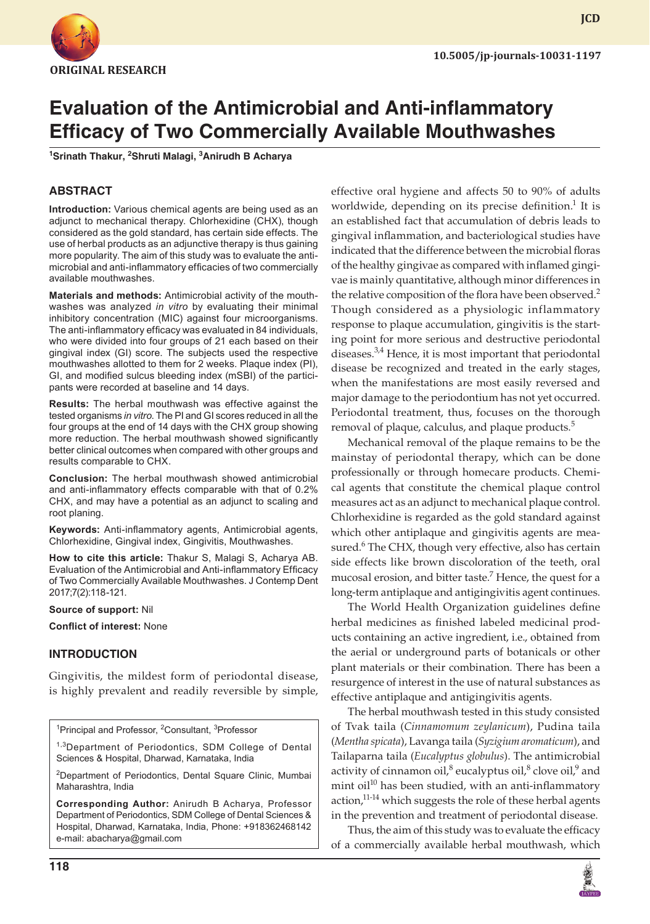

**JCD**

# **Evaluation of the Antimicrobial and Anti-inflammatory Efficacy of Two Commercially Available Mouthwashes**

<sup>1</sup>Srinath Thakur, <sup>2</sup>Shruti Malagi, <sup>3</sup>Anirudh B Acharya

#### **ABSTRACT**

**Introduction:** Various chemical agents are being used as an adjunct to mechanical therapy. Chlorhexidine (CHX), though considered as the gold standard, has certain side effects. The use of herbal products as an adjunctive therapy is thus gaining more popularity. The aim of this study was to evaluate the antimicrobial and anti-inflammatory efficacies of two commercially available mouthwashes.

**Materials and methods:** Antimicrobial activity of the mouthwashes was analyzed *in vitro* by evaluating their minimal inhibitory concentration (MIC) against four microorganisms. The anti-inflammatory efficacy was evaluated in 84 individuals, who were divided into four groups of 21 each based on their gingival index (GI) score. The subjects used the respective mouthwashes allotted to them for 2 weeks. Plaque index (PI), GI, and modified sulcus bleeding index (mSBI) of the participants were recorded at baseline and 14 days.

**Results:** The herbal mouthwash was effective against the tested organisms *in vitro*. The PI and GI scores reduced in all the four groups at the end of 14 days with the CHX group showing more reduction. The herbal mouthwash showed significantly better clinical outcomes when compared with other groups and results comparable to CHX.

**Conclusion:** The herbal mouthwash showed antimicrobial and anti-inflammatory effects comparable with that of 0.2% CHX, and may have a potential as an adjunct to scaling and root planing.

**Keywords:** Anti-inflammatory agents, Antimicrobial agents, Chlorhexidine, Gingival index, Gingivitis, Mouthwashes.

**How to cite this article:** Thakur S, Malagi S, Acharya AB. Evaluation of the Antimicrobial and Anti-inflammatory Efficacy of Two Commercially Available Mouthwashes. J Contemp Dent 2017;7(2):118-121.

#### **Source of support:** Nil

**Conflict of interest:** None

#### **INTRODUCTION**

Gingivitis, the mildest form of periodontal disease, is highly prevalent and readily reversible by simple,

<sup>1</sup>Principal and Professor, <sup>2</sup>Consultant, <sup>3</sup>Professor

<sup>1,3</sup>Department of Periodontics, SDM College of Dental Sciences & Hospital, Dharwad, Karnataka, India

<sup>2</sup>Department of Periodontics, Dental Square Clinic, Mumbai Maharashtra, India

**Corresponding Author:** Anirudh B Acharya, Professor Department of Periodontics, SDM College of Dental Sciences & Hospital, Dharwad, Karnataka, India, Phone: +918362468142 e-mail: abacharya@gmail.com

effective oral hygiene and affects 50 to 90% of adults worldwide, depending on its precise definition.<sup>1</sup> It is an established fact that accumulation of debris leads to gingival inflammation, and bacteriological studies have indicated that the difference between the microbial floras of the healthy gingivae as compared with inflamed gingivae is mainly quantitative, although minor differences in the relative composition of the flora have been observed.<sup>2</sup> Though considered as a physiologic inflammatory response to plaque accumulation, gingivitis is the starting point for more serious and destructive periodontal diseases.<sup>3,4</sup> Hence, it is most important that periodontal disease be recognized and treated in the early stages, when the manifestations are most easily reversed and major damage to the periodontium has not yet occurred. Periodontal treatment, thus, focuses on the thorough removal of plaque, calculus, and plaque products.<sup>5</sup>

Mechanical removal of the plaque remains to be the mainstay of periodontal therapy, which can be done professionally or through homecare products. Chemical agents that constitute the chemical plaque control measures act as an adjunct to mechanical plaque control. Chlorhexidine is regarded as the gold standard against which other antiplaque and gingivitis agents are measured.<sup>6</sup> The CHX, though very effective, also has certain side effects like brown discoloration of the teeth, oral mucosal erosion, and bitter taste.<sup>7</sup> Hence, the quest for a long-term antiplaque and antigingivitis agent continues.

The World Health Organization guidelines define herbal medicines as finished labeled medicinal products containing an active ingredient, i.e., obtained from the aerial or underground parts of botanicals or other plant materials or their combination. There has been a resurgence of interest in the use of natural substances as effective antiplaque and antigingivitis agents.

The herbal mouthwash tested in this study consisted of Tvak taila (*Cinnamomum zeylanicum*), Pudina taila (*Mentha spicata*), Lavanga taila (*Syzigium aromaticum*), and Tailaparna taila (*Eucalyptus globulus*). The antimicrobial activity of cinnamon oil, $^8$  eucalyptus oil, $^8$  clove oil, $^9$  and mint oil<sup>10</sup> has been studied, with an anti-inflammatory action,<sup>11-14</sup> which suggests the role of these herbal agents in the prevention and treatment of periodontal disease.

Thus, the aim of this study was to evaluate the efficacy of a commercially available herbal mouthwash, which

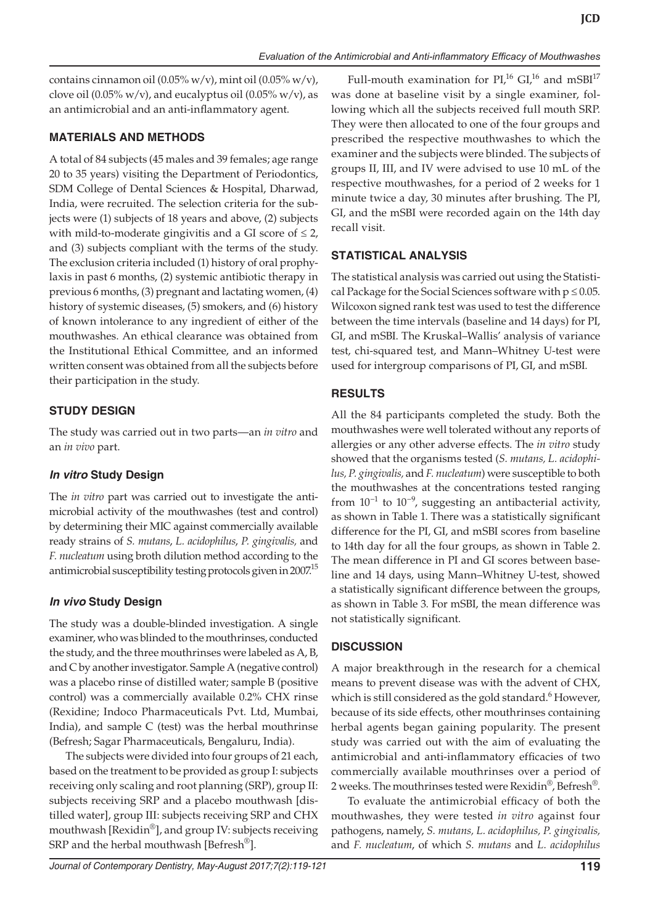contains cinnamon oil (0.05% w/v), mint oil (0.05% w/v), clove oil (0.05% w/v), and eucalyptus oil (0.05% w/v), as an antimicrobial and an anti-inflammatory agent.

### **MATERIALS AND METHODS**

A total of 84 subjects (45 males and 39 females; age range 20 to 35 years) visiting the Department of Periodontics, SDM College of Dental Sciences & Hospital, Dharwad, India, were recruited. The selection criteria for the subjects were (1) subjects of 18 years and above, (2) subjects with mild-to-moderate gingivitis and a GI score of  $\leq 2$ , and (3) subjects compliant with the terms of the study. The exclusion criteria included (1) history of oral prophylaxis in past 6 months, (2) systemic antibiotic therapy in previous 6 months, (3) pregnant and lactating women, (4) history of systemic diseases, (5) smokers, and (6) history of known intolerance to any ingredient of either of the mouthwashes. An ethical clearance was obtained from the Institutional Ethical Committee, and an informed written consent was obtained from all the subjects before their participation in the study.

### **STUDY DESIGN**

The study was carried out in two parts—an *in vitro* and an *in vivo* part.

### *In vitro* **Study Design**

The *in vitro* part was carried out to investigate the antimicrobial activity of the mouthwashes (test and control) by determining their MIC against commercially available ready strains of *S. mutans*, *L. acidophilus*, *P. gingivalis,* and *F. nucleatum* using broth dilution method according to the antimicrobial susceptibility testing protocols given in 2007.<sup>15</sup>

## *In vivo* **Study Design**

The study was a double-blinded investigation. A single examiner, who was blinded to the mouthrinses, conducted the study, and the three mouthrinses were labeled as A, B, and C by another investigator. Sample A (negative control) was a placebo rinse of distilled water; sample B (positive control) was a commercially available 0.2% CHX rinse (Rexidine; Indoco Pharmaceuticals Pvt. Ltd, Mumbai, India), and sample C (test) was the herbal mouthrinse (Befresh; Sagar Pharmaceuticals, Bengaluru, India).

The subjects were divided into four groups of 21 each, based on the treatment to be provided as group I: subjects receiving only scaling and root planning (SRP), group II: subjects receiving SRP and a placebo mouthwash [distilled water], group III: subjects receiving SRP and CHX mouthwash [Rexidin®], and group IV: subjects receiving SRP and the herbal mouthwash [Befresh<sup>®</sup>].

Full-mouth examination for  $PI<sub>1</sub><sup>16</sup> GI<sub>1</sub><sup>16</sup>$  and mSBI<sup>17</sup> was done at baseline visit by a single examiner, following which all the subjects received full mouth SRP. They were then allocated to one of the four groups and prescribed the respective mouthwashes to which the examiner and the subjects were blinded. The subjects of groups II, III, and IV were advised to use 10 mL of the respective mouthwashes, for a period of 2 weeks for 1 minute twice a day, 30 minutes after brushing. The PI, GI, and the mSBI were recorded again on the 14th day recall visit.

### **STATISTICAL ANALYSIS**

The statistical analysis was carried out using the Statistical Package for the Social Sciences software with  $p \le 0.05$ . Wilcoxon signed rank test was used to test the difference between the time intervals (baseline and 14 days) for PI, GI, and mSBI. The Kruskal–Wallis' analysis of variance test, chi-squared test, and Mann–Whitney U-test were used for intergroup comparisons of PI, GI, and mSBI.

### **RESULTS**

All the 84 participants completed the study. Both the mouthwashes were well tolerated without any reports of allergies or any other adverse effects. The *in vitro* study showed that the organisms tested (*S. mutans, L. acidophilus, P. gingivalis,* and *F. nucleatum*) were susceptible to both the mouthwashes at the concentrations tested ranging from  $10^{-1}$  to  $10^{-9}$ , suggesting an antibacterial activity, as shown in Table 1. There was a statistically significant difference for the PI, GI, and mSBI scores from baseline to 14th day for all the four groups, as shown in Table 2. The mean difference in PI and GI scores between baseline and 14 days, using Mann–Whitney U-test, showed a statistically significant difference between the groups, as shown in Table 3. For mSBI, the mean difference was not statistically significant.

## **DISCUSSION**

A major breakthrough in the research for a chemical means to prevent disease was with the advent of CHX, which is still considered as the gold standard.<sup>6</sup> However, because of its side effects, other mouthrinses containing herbal agents began gaining popularity. The present study was carried out with the aim of evaluating the antimicrobial and anti-inflammatory efficacies of two commercially available mouthrinses over a period of 2 weeks. The mouthrinses tested were Rexidin®, Befresh®.

To evaluate the antimicrobial efficacy of both the mouthwashes, they were tested *in vitro* against four pathogens, namely, *S. mutans, L. acidophilus, P. gingivalis,* and *F. nucleatum*, of which *S. mutans* and *L. acidophilus*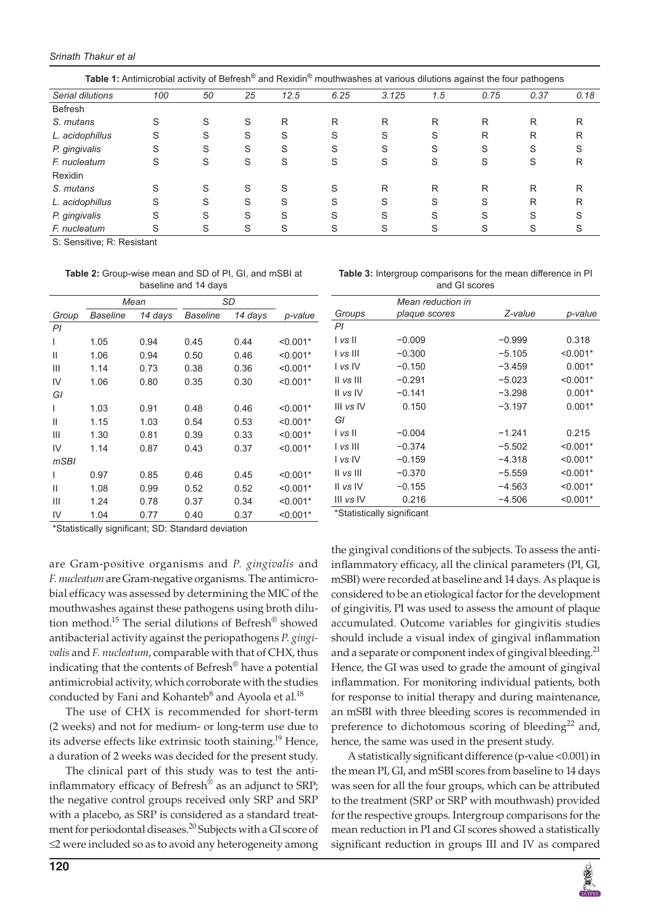| Table 1: Antimicrobial activity of Befresh <sup>®</sup> and Rexidin <sup>®</sup> mouthwashes at various dilutions against the four pathogens |     |    |    |      |      |       |     |      |      |      |
|----------------------------------------------------------------------------------------------------------------------------------------------|-----|----|----|------|------|-------|-----|------|------|------|
| Serial dilutions                                                                                                                             | 100 | 50 | 25 | 12.5 | 6.25 | 3.125 | 1.5 | 0.75 | 0.37 | 0.18 |
| <b>Befresh</b>                                                                                                                               |     |    |    |      |      |       |     |      |      |      |
| S. mutans                                                                                                                                    | S   | S  | S  | R    | R    | R     | R   | R    | R    | R    |
| L. acidophillus                                                                                                                              | S   | S  | S  | S    | S    | S     | S   | R    | R    | R    |
| P. gingivalis                                                                                                                                | S   | S  | S  | S    | S    | S     | S   |      | S    | S    |
| F. nucleatum                                                                                                                                 | S   | S  | S  | S    | S    | S     | S   | S    | S    | R    |
| Rexidin                                                                                                                                      |     |    |    |      |      |       |     |      |      |      |
| S. mutans                                                                                                                                    | S   | S  | S  | S    | S    | R     | R   | R    | R    | R    |
| L. acidophillus                                                                                                                              | S   | S  | S  | S    | S    | S     | S   |      | R    | R    |
| P. gingivalis                                                                                                                                | S   | S  | S  | S    | S    | S     | S   |      | S    | S    |
| F. nucleatum                                                                                                                                 |     |    | S  |      |      |       |     |      |      |      |

S: Sensitive; R: Resistant

**Table 2:** Group-wise mean and SD of PI, GI, and mSBI at baseline and 14 days

|              | Mean     |         | SD       |         |            |
|--------------|----------|---------|----------|---------|------------|
| Group        | Baseline | 14 days | Baseline | 14 days | p-value    |
| PI           |          |         |          |         |            |
| ı            | 1.05     | 0.94    | 0.45     | 0.44    | $< 0.001*$ |
| Ш            | 1.06     | 0.94    | 0.50     | 0.46    | $< 0.001*$ |
| Ш            | 1.14     | 0.73    | 0.38     | 0.36    | $< 0.001*$ |
| IV           | 1.06     | 0.80    | 0.35     | 0.30    | $< 0.001*$ |
| GI           |          |         |          |         |            |
| I            | 1.03     | 0.91    | 0.48     | 0.46    | $< 0.001*$ |
| Ш            | 1.15     | 1.03    | 0.54     | 0.53    | $< 0.001*$ |
| Ш            | 1.30     | 0.81    | 0.39     | 0.33    | $< 0.001*$ |
| IV           | 1.14     | 0.87    | 0.43     | 0.37    | $< 0.001*$ |
| mSBI         |          |         |          |         |            |
| ı            | 0.97     | 0.85    | 0.46     | 0.45    | $< 0.001*$ |
| $\mathsf{I}$ | 1.08     | 0.99    | 0.52     | 0.52    | $< 0.001*$ |
| Ш            | 1.24     | 0.78    | 0.37     | 0.34    | $< 0.001*$ |
| IV           | 1.04     | 0.77    | 0.40     | 0.37    | $< 0.001*$ |

**Table 3:** Intergroup comparisons for the mean difference in PI and GI scores

|           | Mean reduction in |          |            |
|-----------|-------------------|----------|------------|
| Groups    | plaque scores     | Z-value  | p-value    |
| PI        |                   |          |            |
| I vs II   | $-0.009$          | $-0.999$ | 0.318      |
| l vs III  | $-0.300$          | $-5.105$ | $< 0.001*$ |
| I vs IV   | $-0.150$          | $-3.459$ | $0.001*$   |
| II vs III | $-0.291$          | $-5.023$ | $< 0.001*$ |
| II vs IV  | $-0.141$          | $-3.298$ | $0.001*$   |
| III vs IV | 0.150             | $-3.197$ | $0.001*$   |
| GI        |                   |          |            |
| I vs II   | $-0.004$          | $-1.241$ | 0.215      |
| l vs III  | $-0.374$          | $-5.502$ | $< 0.001*$ |
| I vs IV   | $-0.159$          | $-4.318$ | $< 0.001*$ |
| II vs III | $-0.370$          | $-5.559$ | $< 0.001*$ |
| II vs IV  | $-0.155$          | -4.563   | $< 0.001*$ |
| III vs IV | 0.216             | $-4.506$ | $< 0.001*$ |
|           |                   |          |            |

\*Statistically significant; SD: Standard deviation

are Gram-positive organisms and *P. gingivalis* and *F. nucleatum* are Gram-negative organisms. The antimicrobial efficacy was assessed by determining the MIC of the mouthwashes against these pathogens using broth dilution method.15 The serial dilutions of Befresh® showed antibacterial activity against the periopathogens *P. gingivalis* and *F. nucleatum*, comparable with that of CHX, thus indicating that the contents of Befresh<sup>®</sup> have a potential antimicrobial activity, which corroborate with the studies conducted by Fani and Kohanteb $^8$  and Ayoola et al. $^{18}$ 

The use of CHX is recommended for short-term (2 weeks) and not for medium- or long-term use due to its adverse effects like extrinsic tooth staining.19 Hence, a duration of 2 weeks was decided for the present study.

The clinical part of this study was to test the antiinflammatory efficacy of Befresh<sup>®</sup> as an adjunct to SRP; the negative control groups received only SRP and SRP with a placebo, as SRP is considered as a standard treatment for periodontal diseases.<sup>20</sup> Subjects with a GI score of ≤2 were included so as to avoid any heterogeneity among

\*Statistically significant

the gingival conditions of the subjects. To assess the antiinflammatory efficacy, all the clinical parameters (PI, GI, mSBI) were recorded at baseline and 14 days. As plaque is considered to be an etiological factor for the development of gingivitis, PI was used to assess the amount of plaque accumulated. Outcome variables for gingivitis studies should include a visual index of gingival inflammation and a separate or component index of gingival bleeding.<sup>21</sup> Hence, the GI was used to grade the amount of gingival inflammation. For monitoring individual patients, both for response to initial therapy and during maintenance, an mSBI with three bleeding scores is recommended in preference to dichotomous scoring of bleeding $22$  and, hence, the same was used in the present study.

A statistically significant difference (p-value <0.001) in the mean PI, GI, and mSBI scores from baseline to 14 days was seen for all the four groups, which can be attributed to the treatment (SRP or SRP with mouthwash) provided for the respective groups. Intergroup comparisons for the mean reduction in PI and GI scores showed a statistically significant reduction in groups III and IV as compared